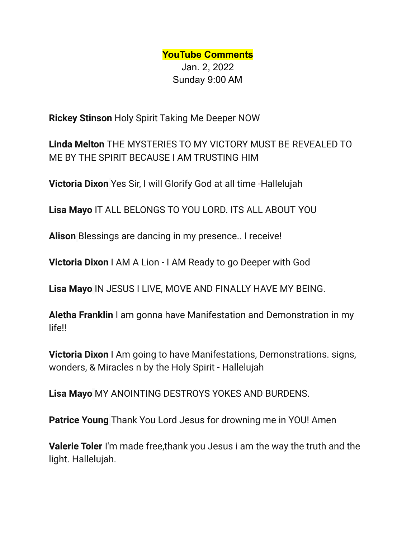**YouTube Comments** Jan. 2, 2022 Sunday 9:00 AM

**Rickey Stinson** Holy Spirit Taking Me Deeper NOW

**Linda Melton** THE MYSTERIES TO MY VICTORY MUST BE REVEALED TO ME BY THE SPIRIT BECAUSE I AM TRUSTING HIM

**Victoria Dixon** Yes Sir, I will Glorify God at all time -Hallelujah

**Lisa Mayo** IT ALL BELONGS TO YOU LORD. ITS ALL ABOUT YOU

**Alison** Blessings are dancing in my presence.. I receive!

**Victoria Dixon** I AM A Lion - I AM Ready to go Deeper with God

**Lisa Mayo** IN JESUS I LIVE, MOVE AND FINALLY HAVE MY BEING.

**Aletha Franklin** I am gonna have Manifestation and Demonstration in my life!!

**Victoria Dixon** I Am going to have Manifestations, Demonstrations. signs, wonders, & Miracles n by the Holy Spirit - Hallelujah

**Lisa Mayo** MY ANOINTING DESTROYS YOKES AND BURDENS.

**Patrice Young** Thank You Lord Jesus for drowning me in YOU! Amen

**Valerie Toler** I'm made free,thank you Jesus i am the way the truth and the light. Hallelujah.